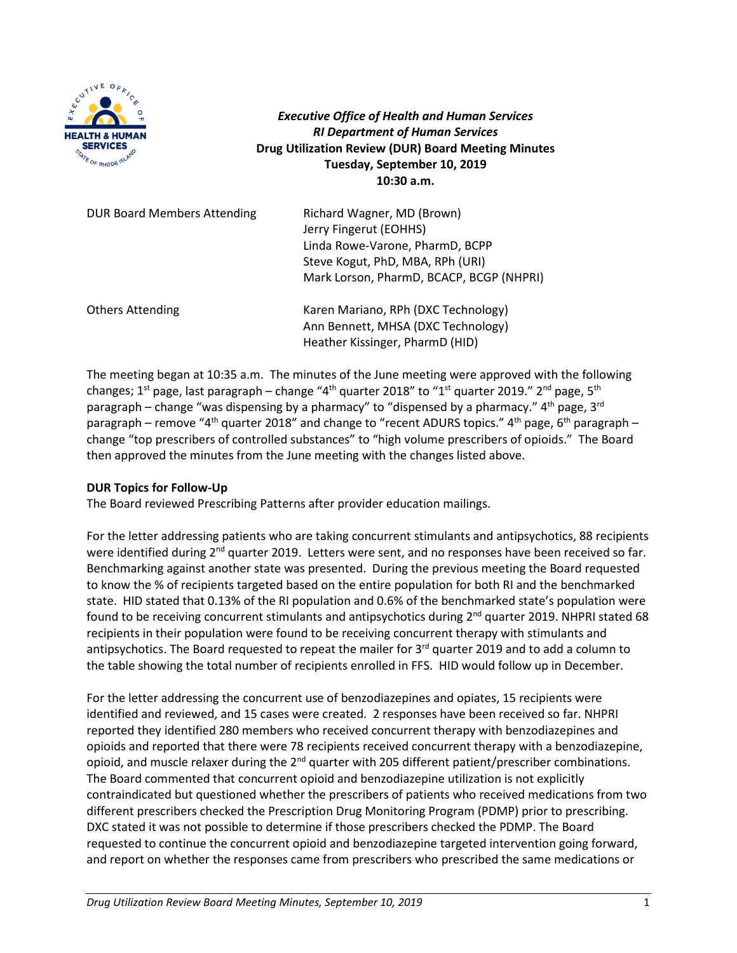

*Executive Office of Health and Human Services RI Department of Human Services* **Drug Utilization Review (DUR) Board Meeting Minutes Tuesday, September 10, 2019 10:30 a.m.**

| <b>DUR Board Members Attending</b> | Richard Wagner, MD (Brown)<br>Jerry Fingerut (EOHHS)<br>Linda Rowe-Varone, PharmD, BCPP<br>Steve Kogut, PhD, MBA, RPh (URI)<br>Mark Lorson, PharmD, BCACP, BCGP (NHPRI) |
|------------------------------------|-------------------------------------------------------------------------------------------------------------------------------------------------------------------------|
| <b>Others Attending</b>            | Karen Mariano, RPh (DXC Technology)<br>Ann Bennett, MHSA (DXC Technology)<br>Heather Kissinger, PharmD (HID)                                                            |

The meeting began at 10:35 a.m. The minutes of the June meeting were approved with the following changes; 1<sup>st</sup> page, last paragraph – change "4<sup>th</sup> quarter 2018" to "1<sup>st</sup> quarter 2019." 2<sup>nd</sup> page, 5<sup>th</sup> paragraph – change "was dispensing by a pharmacy" to "dispensed by a pharmacy." 4<sup>th</sup> page, 3<sup>rd</sup> paragraph – remove "4<sup>th</sup> quarter 2018" and change to "recent ADURS topics." 4<sup>th</sup> page, 6<sup>th</sup> paragraph – change "top prescribers of controlled substances" to "high volume prescribers of opioids." The Board then approved the minutes from the June meeting with the changes listed above.

### **DUR Topics for Follow-Up**

The Board reviewed Prescribing Patterns after provider education mailings.

For the letter addressing patients who are taking concurrent stimulants and antipsychotics, 88 recipients were identified during  $2^{nd}$  quarter 2019. Letters were sent, and no responses have been received so far. Benchmarking against another state was presented. During the previous meeting the Board requested to know the % of recipients targeted based on the entire population for both RI and the benchmarked state. HID stated that 0.13% of the RI population and 0.6% of the benchmarked state's population were found to be receiving concurrent stimulants and antipsychotics during  $2<sup>nd</sup>$  quarter 2019. NHPRI stated 68 recipients in their population were found to be receiving concurrent therapy with stimulants and antipsychotics. The Board requested to repeat the mailer for 3<sup>rd</sup> quarter 2019 and to add a column to the table showing the total number of recipients enrolled in FFS. HID would follow up in December.

For the letter addressing the concurrent use of benzodiazepines and opiates, 15 recipients were identified and reviewed, and 15 cases were created. 2 responses have been received so far. NHPRI reported they identified 280 members who received concurrent therapy with benzodiazepines and opioids and reported that there were 78 recipients received concurrent therapy with a benzodiazepine, opioid, and muscle relaxer during the 2<sup>nd</sup> quarter with 205 different patient/prescriber combinations. The Board commented that concurrent opioid and benzodiazepine utilization is not explicitly contraindicated but questioned whether the prescribers of patients who received medications from two different prescribers checked the Prescription Drug Monitoring Program (PDMP) prior to prescribing. DXC stated it was not possible to determine if those prescribers checked the PDMP. The Board requested to continue the concurrent opioid and benzodiazepine targeted intervention going forward, and report on whether the responses came from prescribers who prescribed the same medications or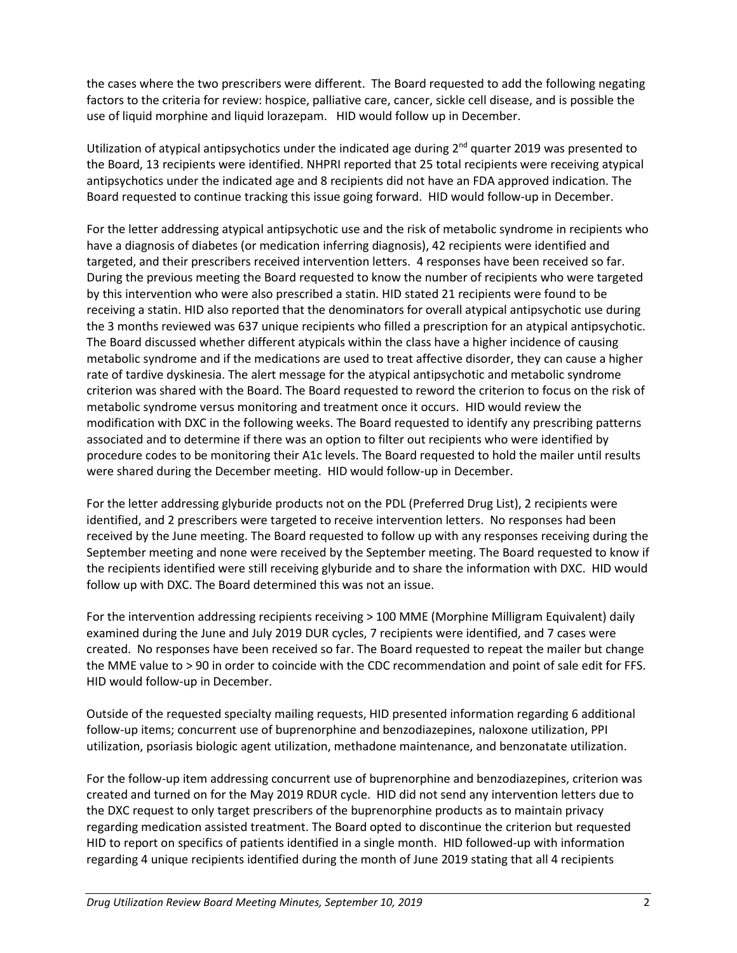the cases where the two prescribers were different. The Board requested to add the following negating factors to the criteria for review: hospice, palliative care, cancer, sickle cell disease, and is possible the use of liquid morphine and liquid lorazepam. HID would follow up in December.

Utilization of atypical antipsychotics under the indicated age during  $2<sup>nd</sup>$  quarter 2019 was presented to the Board, 13 recipients were identified. NHPRI reported that 25 total recipients were receiving atypical antipsychotics under the indicated age and 8 recipients did not have an FDA approved indication. The Board requested to continue tracking this issue going forward. HID would follow-up in December.

For the letter addressing atypical antipsychotic use and the risk of metabolic syndrome in recipients who have a diagnosis of diabetes (or medication inferring diagnosis), 42 recipients were identified and targeted, and their prescribers received intervention letters. 4 responses have been received so far. During the previous meeting the Board requested to know the number of recipients who were targeted by this intervention who were also prescribed a statin. HID stated 21 recipients were found to be receiving a statin. HID also reported that the denominators for overall atypical antipsychotic use during the 3 months reviewed was 637 unique recipients who filled a prescription for an atypical antipsychotic. The Board discussed whether different atypicals within the class have a higher incidence of causing metabolic syndrome and if the medications are used to treat affective disorder, they can cause a higher rate of tardive dyskinesia. The alert message for the atypical antipsychotic and metabolic syndrome criterion was shared with the Board. The Board requested to reword the criterion to focus on the risk of metabolic syndrome versus monitoring and treatment once it occurs. HID would review the modification with DXC in the following weeks. The Board requested to identify any prescribing patterns associated and to determine if there was an option to filter out recipients who were identified by procedure codes to be monitoring their A1c levels. The Board requested to hold the mailer until results were shared during the December meeting. HID would follow-up in December.

For the letter addressing glyburide products not on the PDL (Preferred Drug List), 2 recipients were identified, and 2 prescribers were targeted to receive intervention letters. No responses had been received by the June meeting. The Board requested to follow up with any responses receiving during the September meeting and none were received by the September meeting. The Board requested to know if the recipients identified were still receiving glyburide and to share the information with DXC. HID would follow up with DXC. The Board determined this was not an issue.

For the intervention addressing recipients receiving > 100 MME (Morphine Milligram Equivalent) daily examined during the June and July 2019 DUR cycles, 7 recipients were identified, and 7 cases were created. No responses have been received so far. The Board requested to repeat the mailer but change the MME value to > 90 in order to coincide with the CDC recommendation and point of sale edit for FFS. HID would follow-up in December.

Outside of the requested specialty mailing requests, HID presented information regarding 6 additional follow-up items; concurrent use of buprenorphine and benzodiazepines, naloxone utilization, PPI utilization, psoriasis biologic agent utilization, methadone maintenance, and benzonatate utilization.

For the follow-up item addressing concurrent use of buprenorphine and benzodiazepines, criterion was created and turned on for the May 2019 RDUR cycle. HID did not send any intervention letters due to the DXC request to only target prescribers of the buprenorphine products as to maintain privacy regarding medication assisted treatment. The Board opted to discontinue the criterion but requested HID to report on specifics of patients identified in a single month. HID followed-up with information regarding 4 unique recipients identified during the month of June 2019 stating that all 4 recipients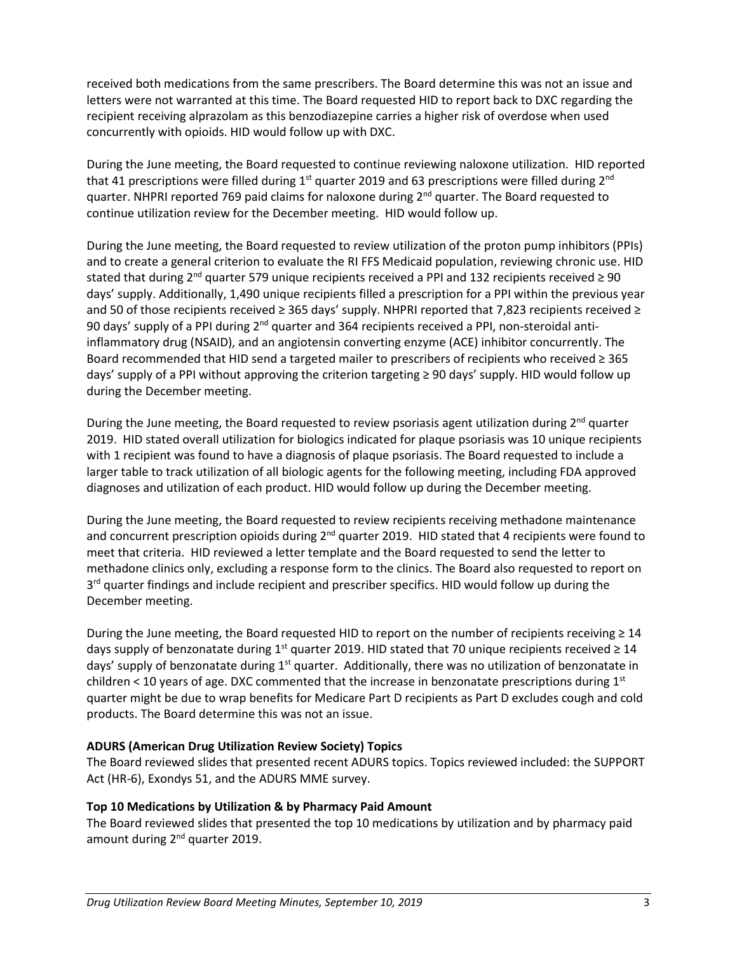received both medications from the same prescribers. The Board determine this was not an issue and letters were not warranted at this time. The Board requested HID to report back to DXC regarding the recipient receiving alprazolam as this benzodiazepine carries a higher risk of overdose when used concurrently with opioids. HID would follow up with DXC.

During the June meeting, the Board requested to continue reviewing naloxone utilization. HID reported that 41 prescriptions were filled during  $1<sup>st</sup>$  quarter 2019 and 63 prescriptions were filled during  $2<sup>nd</sup>$ quarter. NHPRI reported 769 paid claims for naloxone during 2<sup>nd</sup> quarter. The Board requested to continue utilization review for the December meeting. HID would follow up.

During the June meeting, the Board requested to review utilization of the proton pump inhibitors (PPIs) and to create a general criterion to evaluate the RI FFS Medicaid population, reviewing chronic use. HID stated that during 2<sup>nd</sup> quarter 579 unique recipients received a PPI and 132 recipients received  $\geq 90$ days' supply. Additionally, 1,490 unique recipients filled a prescription for a PPI within the previous year and 50 of those recipients received ≥ 365 days' supply. NHPRI reported that 7,823 recipients received ≥ 90 days' supply of a PPI during 2<sup>nd</sup> quarter and 364 recipients received a PPI, non-steroidal antiinflammatory drug (NSAID), and an angiotensin converting enzyme (ACE) inhibitor concurrently. The Board recommended that HID send a targeted mailer to prescribers of recipients who received ≥ 365 days' supply of a PPI without approving the criterion targeting ≥ 90 days' supply. HID would follow up during the December meeting.

During the June meeting, the Board requested to review psoriasis agent utilization during 2<sup>nd</sup> quarter 2019. HID stated overall utilization for biologics indicated for plaque psoriasis was 10 unique recipients with 1 recipient was found to have a diagnosis of plaque psoriasis. The Board requested to include a larger table to track utilization of all biologic agents for the following meeting, including FDA approved diagnoses and utilization of each product. HID would follow up during the December meeting.

During the June meeting, the Board requested to review recipients receiving methadone maintenance and concurrent prescription opioids during 2<sup>nd</sup> quarter 2019. HID stated that 4 recipients were found to meet that criteria. HID reviewed a letter template and the Board requested to send the letter to methadone clinics only, excluding a response form to the clinics. The Board also requested to report on  $3<sup>rd</sup>$  quarter findings and include recipient and prescriber specifics. HID would follow up during the December meeting.

During the June meeting, the Board requested HID to report on the number of recipients receiving  $\geq 14$ days supply of benzonatate during 1<sup>st</sup> quarter 2019. HID stated that 70 unique recipients received  $\geq 14$ days' supply of benzonatate during 1<sup>st</sup> quarter. Additionally, there was no utilization of benzonatate in children < 10 years of age. DXC commented that the increase in benzonatate prescriptions during 1st quarter might be due to wrap benefits for Medicare Part D recipients as Part D excludes cough and cold products. The Board determine this was not an issue.

### **ADURS (American Drug Utilization Review Society) Topics**

The Board reviewed slides that presented recent ADURS topics. Topics reviewed included: the SUPPORT Act (HR-6), Exondys 51, and the ADURS MME survey.

### **Top 10 Medications by Utilization & by Pharmacy Paid Amount**

The Board reviewed slides that presented the top 10 medications by utilization and by pharmacy paid amount during 2<sup>nd</sup> quarter 2019.